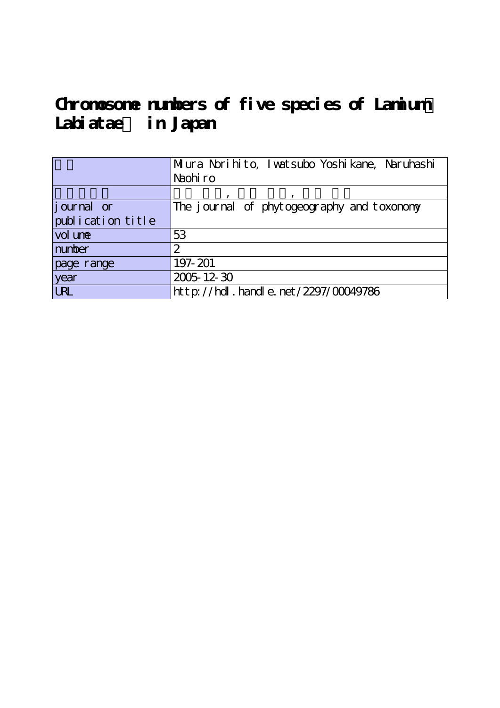# Chromosome numbers of five species of Lamium **Labiatae) in Japan**

|                    | Miura Norihito, Iwatsubo Yoshikane, Naruhashi<br>Naohiro |  |  |  |  |
|--------------------|----------------------------------------------------------|--|--|--|--|
|                    |                                                          |  |  |  |  |
|                    |                                                          |  |  |  |  |
| <i>j</i> ournal or | The journal of phytogeography and toxonony               |  |  |  |  |
| publication title  |                                                          |  |  |  |  |
| vol une            | 53                                                       |  |  |  |  |
| number             | 2                                                        |  |  |  |  |
| page range         | 197-201                                                  |  |  |  |  |
| year               | 2005-12-30                                               |  |  |  |  |
| <b>LRL</b>         | http://hdl.handle.net/2297/00049786                      |  |  |  |  |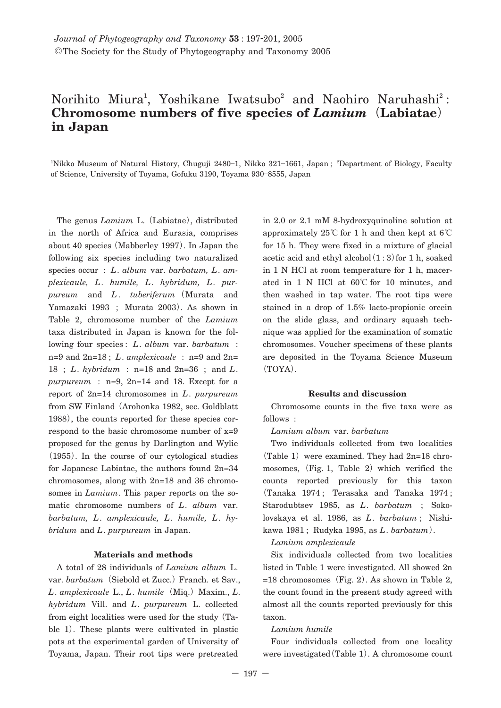# Norihito Miura<sup>1</sup>, Yoshikane Iwatsubo<sup>2</sup> and Naohiro Naruhashi<sup>2</sup>: **Chromosome numbers of five species of** *Lamium***(Labiatae) in Japan**

1 Nikko Museum of Natural History, Chuguji 2480**―**1, Nikko 321**―**1661, Japan ; <sup>2</sup> Department of Biology, Faculty of Science, University of Toyama, Gofuku 3190, Toyama 930**―**8555, Japan

The genus *Lamium* L.**(**Labiatae**)**, distributed in the north of Africa and Eurasia, comprises about 40 species**(**Mabberley 1997**)**. In Japan the following six species including two naturalized species occur : *L*. *album* var. *barbatum, L*. *amplexicaule, L*. *humile, L*. *hybridum, L*. *purpureum* and *L*. *tuberiferum***(**Murata and Yamazaki 1993 ; Murata 2003**)**. As shown in Table 2, chromosome number of the *Lamium* taxa distributed in Japan is known for the following four species : *L*. *album* var. *barbatum* : n=9 and 2n=18 ; *L*. *amplexicaule* : n=9 and 2n= 18 ; *L*. *hybridum* : n=18 and 2n=36 ; and *L*. *purpureum* : n=9, 2n=14 and 18. Except for a report of 2n=14 chromosomes in *L*. *purpureum* from SW Finland**(**Arohonka 1982, sec. Goldblatt 1988**)**, the counts reported for these species correspond to the basic chromosome number of x=9 proposed for the genus by Darlington and Wylie **(**1955**)**. In the course of our cytological studies for Japanese Labiatae, the authors found 2n=34 chromosomes, along with 2n=18 and 36 chromosomes in *Lamium*. This paper reports on the somatic chromosome numbers of *L*. *album* var. *barbatum, L*. *amplexicaule, L*. *humile, L*. *hybridum* and *L*. *purpureum* in Japan.

# **Materials and methods**

A total of 28 individuals of *Lamium album* L. var. *barbatum***(**Siebold et Zucc.**)**Franch. et Sav., *L*. *amplexicaule* L., *L*. *humile***(**Miq.**)**Maxim., *L*. *hybridum* Vill. and *L*. *purpureum* L. collected from eight localities were used for the study**(**Table 1**)**. These plants were cultivated in plastic pots at the experimental garden of University of Toyama, Japan. Their root tips were pretreated

in 2.0 or 2.1 mM 8-hydroxyquinoline solution at approximately 25**℃** for 1 h and then kept at 6**℃** for 15 h. They were fixed in a mixture of glacial acetic acid and ethyl alcohol**(**1:3**)**for 1 h, soaked in 1 N HCl at room temperature for 1 h, macerated in 1 N HCl at 60**℃** for 10 minutes, and then washed in tap water. The root tips were stained in a drop of 1.5% lacto-propionic orcein on the slide glass, and ordinary squash technique was applied for the examination of somatic chromosomes. Voucher specimens of these plants are deposited in the Toyama Science Museum **(**TOYA**)**.

#### **Results and discussion**

Chromosome counts in the five taxa were as follows :

#### *Lamium album* var. *barbatum*

Two individuals collected from two localities **(**Table 1**)**were examined. They had 2n=18 chromosomes, (Fig. 1, Table 2) which verified the counts reported previously for this taxon **(**Tanaka 1974 ; Terasaka and Tanaka 1974 ; Starodubtsev 1985, as *L*. *barbatum* ; Sokolovskaya et al. 1986, as *L*. *barbatum* ; Nishikawa 1981 ; Rudyka 1995, as *L*. *barbatum***)**.

# *Lamium amplexicaule*

Six individuals collected from two localities listed in Table 1 were investigated. All showed 2n =18 chromosomes**(**Fig. 2**)**. As shown in Table 2, the count found in the present study agreed with almost all the counts reported previously for this taxon.

#### *Lamium humile*

Four individuals collected from one locality were investigated**(**Table 1**)**. A chromosome count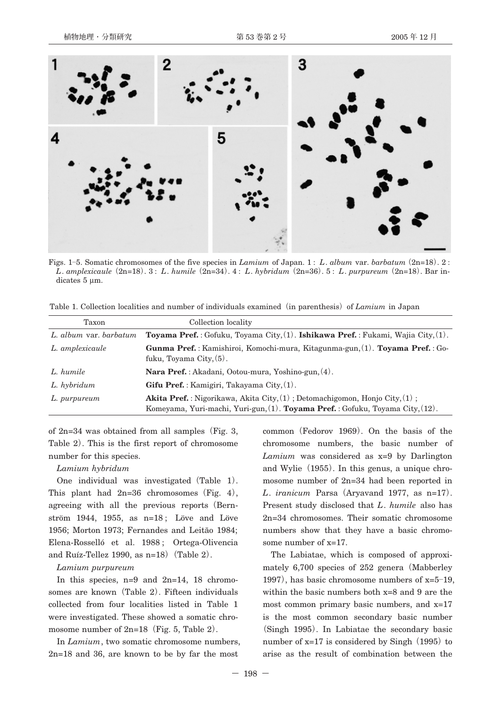

Figs. 1**―**5. Somatic chromosomes of the five species in *Lamium* of Japan. 1 : *L*. *album* var. *barbatum***(**2n=18**)**.2: *L*. *amplexicaule***(**2n=18**)**.3: *L*. *humile***(**2n=34**)**.4: *L*. *hybridum***(**2n=36**)**.5: *L*. *purpureum***(**2n=18**)**. Bar indicates 5 μm.

Table 1. Collection localities and number of individuals examined**(**in parenthesis**)**of *Lamium* in Japan

| Taxon                  | Collection locality                                                                                                                                                       |  |  |
|------------------------|---------------------------------------------------------------------------------------------------------------------------------------------------------------------------|--|--|
| L. album var. barbatum | Toyama Pref.: Gofuku, Toyama City, $(1)$ . Ishikawa Pref.: Fukami, Wajia City, $(1)$ .                                                                                    |  |  |
| L. amplexicaule        | Gunma Pref.: Kamishiroi, Komochi-mura, Kitagunma-gun, (1). Toyama Pref.: Go-<br>fuku, Toyama City, $(5)$ .                                                                |  |  |
| L. humile              | Nara Pref.: Akadani, Ootou-mura, Yoshino-gun, (4).                                                                                                                        |  |  |
| L. hybridum            | Gifu Pref.: Kamigiri, Takayama City. (1).                                                                                                                                 |  |  |
| L. purpureum           | <b>Akita Pref.</b> : Nigorikawa, Akita City, $(1)$ : Detomachigomon, Honjo City, $(1)$ :<br>Komeyama, Yuri-machi, Yuri-gun, (1). Toyama Pref.: Gofuku, Toyama City, (12). |  |  |

of 2n=34 was obtained from all samples**(**Fig. 3, Table 2**)**. This is the first report of chromosome number for this species.

#### *Lamium hybridum*

One individual was investigated**(**Table 1**)**. This plant had 2n=36 chromosomes**(**Fig. 4**)**, agreeing with all the previous reports**(**Bernström 1944, 1955, as n=18 ; Löve and Löve 1956; Morton 1973; Fernandes and Leitāo 1984; Elena-Rosselló et al. 1988 ; Ortega-Olivencia and Ruíz-Tellez 1990, as n=18**)(**Table 2**)**.

#### *Lamium purpureum*

In this species, n=9 and 2n=14, 18 chromosomes are known**(**Table 2**)**. Fifteen individuals collected from four localities listed in Table 1 were investigated. These showed a somatic chromosome number of 2n=18**(**Fig. 5, Table 2**)**.

In *Lamium*, two somatic chromosome numbers, 2n=18 and 36, are known to be by far the most

common**(**Fedorov 1969**)**. On the basis of the chromosome numbers, the basic number of *Lamium* was considered as x=9 by Darlington and Wylie**(**1955**)**. In this genus, a unique chromosome number of 2n=34 had been reported in *L*. *iranicum* Parsa**(**Aryavand 1977, as n=17**)**. Present study disclosed that *L*. *humile* also has 2n=34 chromosomes. Their somatic chromosome numbers show that they have a basic chromosome number of x=17.

The Labiatae, which is composed of approximately 6,700 species of 252 genera**(**Mabberley 1997**)**, has basic chromosome numbers of x=5**―**19, within the basic numbers both x=8 and 9 are the most common primary basic numbers, and x=17 is the most common secondary basic number **(**Singh 1995**)**. In Labiatae the secondary basic number of x=17 is considered by Singh**(**1995**)**to arise as the result of combination between the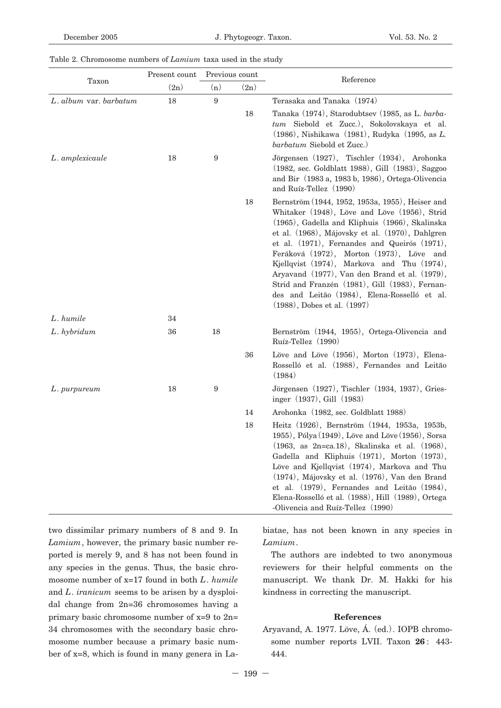### Table 2. Chromosome numbers of *Lamium* taxa used in the study

| Taxon                  | Present count | Previous count   |      | Reference                                                                                                                                                                                                                                                                                                                                                                                                                                                                                                                             |
|------------------------|---------------|------------------|------|---------------------------------------------------------------------------------------------------------------------------------------------------------------------------------------------------------------------------------------------------------------------------------------------------------------------------------------------------------------------------------------------------------------------------------------------------------------------------------------------------------------------------------------|
|                        | (2n)          | (n)              | (2n) |                                                                                                                                                                                                                                                                                                                                                                                                                                                                                                                                       |
| L. album var. barbatum | 18            | 9                |      | Terasaka and Tanaka (1974)                                                                                                                                                                                                                                                                                                                                                                                                                                                                                                            |
|                        |               |                  | 18   | Tanaka (1974), Starodubtsev (1985, as L. barba-<br>tum Siebold et Zucc.), Sokolovskaya et al.<br>(1986), Nishikawa (1981), Rudyka (1995, as L.<br>barbatum Siebold et Zucc.)                                                                                                                                                                                                                                                                                                                                                          |
| L. amplexicaule        | 18            | 9                |      | Jörgensen (1927), Tischler (1934), Arohonka<br>(1982, sec. Goldblatt 1988), Gill (1983), Saggoo<br>and Bir (1983 a, 1983 b, 1986), Ortega-Olivencia<br>and Ruíz-Tellez (1990)                                                                                                                                                                                                                                                                                                                                                         |
|                        |               |                  | 18   | Bernström (1944, 1952, 1953a, 1955), Heiser and<br>Whitaker (1948), Löve and Löve (1956), Strid<br>(1965), Gadella and Kliphuis (1966), Skalinska<br>et al. (1968), Májovsky et al. (1970), Dahlgren<br>et al. (1971), Fernandes and Queirós (1971),<br>Feráková (1972), Morton (1973), Löve and<br>Kjellqvist (1974), Markova and Thu (1974),<br>Aryavand (1977), Van den Brand et al. (1979),<br>Strid and Franzén (1981), Gill (1983), Fernan-<br>des and Leitão (1984), Elena-Rosselló et al.<br>$(1988)$ , Dobes et al. $(1997)$ |
| L. humile              | 34            |                  |      |                                                                                                                                                                                                                                                                                                                                                                                                                                                                                                                                       |
| L. hybridum            | 36            | 18               |      | Bernström (1944, 1955), Ortega-Olivencia and<br>Ruíz-Tellez (1990)                                                                                                                                                                                                                                                                                                                                                                                                                                                                    |
|                        |               |                  | 36   | Löve and Löve (1956), Morton (1973), Elena-<br>Rosselló et al. (1988), Fernandes and Leitão<br>(1984)                                                                                                                                                                                                                                                                                                                                                                                                                                 |
| L. purpureum           | 18            | $\boldsymbol{9}$ |      | Jörgensen (1927), Tischler (1934, 1937), Gries-<br>inger (1937), Gill (1983)                                                                                                                                                                                                                                                                                                                                                                                                                                                          |
|                        |               |                  | 14   | Arohonka (1982, sec. Goldblatt 1988)                                                                                                                                                                                                                                                                                                                                                                                                                                                                                                  |
|                        |               |                  | 18   | Heitz (1926), Bernström (1944, 1953a, 1953b,<br>1955), Pólya (1949), Löve and Löve (1956), Sorsa<br>$(1963, as 2n=ca.18)$ , Skalinska et al. $(1968)$ ,<br>Gadella and Kliphuis (1971), Morton (1973),<br>Löve and Kjellqvist (1974), Markova and Thu<br>(1974), Májovsky et al. (1976), Van den Brand<br>et al. (1979), Fernandes and Leitāo (1984),<br>Elena-Rosselló et al. (1988), Hill (1989), Ortega<br>-Olivencia and Ruíz-Tellez (1990)                                                                                       |

two dissimilar primary numbers of 8 and 9. In *Lamium*, however, the primary basic number reported is merely 9, and 8 has not been found in any species in the genus. Thus, the basic chromosome number of x=17 found in both *L*. *humile* and *L*. *iranicum* seems to be arisen by a dysploidal change from 2n=36 chromosomes having a primary basic chromosome number of x=9 to 2n= 34 chromosomes with the secondary basic chromosome number because a primary basic number of x=8, which is found in many genera in La-

biatae, has not been known in any species in *Lamium*.

The authors are indebted to two anonymous reviewers for their helpful comments on the manuscript. We thank Dr. M. Hakki for his kindness in correcting the manuscript.

## **References**

Aryavand, A. 1977. Löve, Á.**(**ed.**)**. IOPB chromosome number reports LVII. Taxon **26** : 443- 444.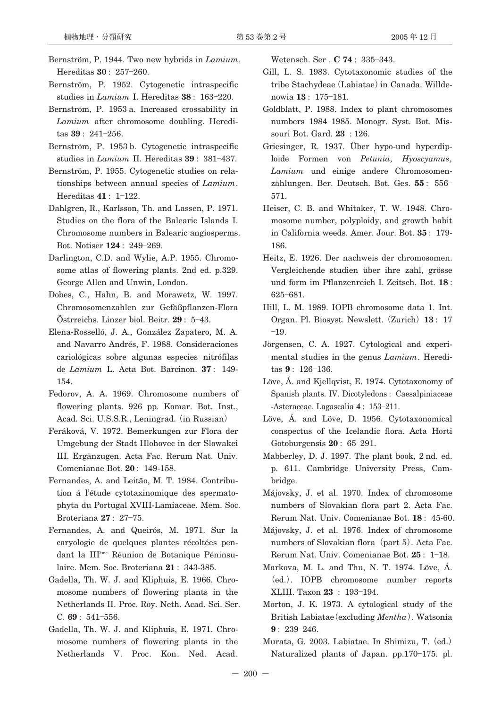- Bernström, P. 1944. Two new hybrids in *Lamium*. Hereditas **30** : 257**―**260.
- Bernström, P. 1952. Cytogenetic intraspecific studies in *Lamium* I. Hereditas **38** : 163**―**220.
- Bernström, P. 1953 a. Increased crossability in *Lamium* after chromosome doubling. Hereditas **39** : 241**―**256.
- Bernström, P. 1953 b. Cytogenetic intraspecific studies in *Lamium* II. Hereditas **39** : 381**―**437.
- Bernström, P. 1955. Cytogenetic studies on relationships between annual species of *Lamium*. Hereditas **41** : 1**―**122.
- Dahlgren, R., Karlsson, Th. and Lassen, P. 1971. Studies on the flora of the Balearic Islands I. Chromosome numbers in Balearic angiosperms. Bot. Notiser **124** : 249**―**269.
- Darlington, C.D. and Wylie, A.P. 1955. Chromosome atlas of flowering plants. 2nd ed. p.329. George Allen and Unwin, London.
- Dobes, C., Hahn, B. and Morawetz, W. 1997. Chromosomenzahlen zur Gefäßpflanzen-Flora Östrreichs. Linzer biol. Beitr. **29** : 5**―**43.
- Elena-Rosselló, J. A., González Zapatero, M. A. and Navarro Andrés, F. 1988. Consideraciones cariológicas sobre algunas especies nitrófilas de *Lamium* L. Acta Bot. Barcinon. **37** : 149- 154.
- Fedorov, A. A. 1969. Chromosome numbers of flowering plants. 926 pp. Komar. Bot. Inst., Acad. Sci. U.S.S.R., Leningrad.**(**in Russian**)**
- Feráková, V. 1972. Bemerkungen zur Flora der Umgebung der Stadt Hlohovec in der Slowakei III. Ergänzugen. Acta Fac. Rerum Nat. Univ. Comenianae Bot. **20** : 149-158.
- Fernandes, A. and Leitāo, M. T. 1984. Contribution á l'étude cytotaxinomique des spermatophyta du Portugal XVIII-Lamiaceae. Mem. Soc. Broteriana **27** : 27**―**75.
- Fernandes, A. and Queirós, M. 1971. Sur la caryologie de quelques plantes récoltées pendant la IIIème Réunion de Botanique Péninsulaire. Mem. Soc. Broteriana **21** : 343-385.
- Gadella, Th. W. J. and Kliphuis, E. 1966. Chromosome numbers of flowering plants in the Netherlands II. Proc. Roy. Neth. Acad. Sci. Ser. C. **69** : 541**―**556.
- Gadella, Th. W. J. and Kliphuis, E. 1971. Chromosome numbers of flowering plants in the Netherlands V. Proc. Kon. Ned. Acad.

Wetensch. Ser . **C 74** : 335**―**343.

- Gill, L. S. 1983. Cytotaxonomic studies of the tribe Stachydeae**(**Labiatae**)**in Canada. Willdenowia **13** : 175**―**181.
- Goldblatt, P. 1988. Index to plant chromosomes numbers 1984**―**1985. Monogr. Syst. Bot. Missouri Bot. Gard. **23** : 126.
- Griesinger, R. 1937. Über hypo-und hyperdiploide Formen von *Petunia, Hyoscyamus, Lamium* und einige andere Chromosomenzählungen. Ber. Deutsch. Bot. Ges. **55** : 556**―** 571.
- Heiser, C. B. and Whitaker, T. W. 1948. Chromosome number, polyploidy, and growth habit in California weeds. Amer. Jour. Bot. **35** : 179- 186.
- Heitz, E. 1926. Der nachweis der chromosomen. Vergleichende studien über ihre zahl, grösse und form im Pflanzenreich I. Zeitsch. Bot. **18** : 625**―**681.
- Hill, L. M. 1989. IOPB chromosome data 1. Int. Organ. Pl. Biosyst. Newslett.**(**Zurich**)13** : 17 **―**19.
- Jörgensen, C. A. 1927. Cytological and experimental studies in the genus *Lamium*. Hereditas **9** : 126**―**136.
- Löve, Á. and Kjellqvist, E. 1974. Cytotaxonomy of Spanish plants. IV. Dicotyledons : Caesalpiniaceae -Asteraceae. Lagascalia **4** : 153**―**211.
- Löve, Á. and Löve, D. 1956. Cytotaxonomical conspectus of the Icelandic flora. Acta Horti Gotoburgensis **20** : 65**―**291.
- Mabberley, D. J. 1997. The plant book, 2 nd. ed. p. 611. Cambridge University Press, Cambridge.
- Májovsky, J. et al. 1970. Index of chromosome numbers of Slovakian flora part 2. Acta Fac. Rerum Nat. Univ. Comenianae Bot. **18** : 45-60.
- Májovsky, J. et al. 1976. Index of chromosome numbers of Slovakian flora**(**part 5**)**. Acta Fac. Rerum Nat. Univ. Comenianae Bot. **25** : 1**―**18.
- Markova, M. L. and Thu, N. T. 1974. Löve, Á. **(**ed.**)**. IOPB chromosome number reports XLIII. Taxon **23** : 193**―**194.
- Morton, J. K. 1973. A cytological study of the British Labiatae**(**excluding *Mentha***)**. Watsonia **9** : 239**―**246.
- Murata, G. 2003. Labiatae. In Shimizu, T.**(**ed.**)** Naturalized plants of Japan. pp.170**―**175. pl.